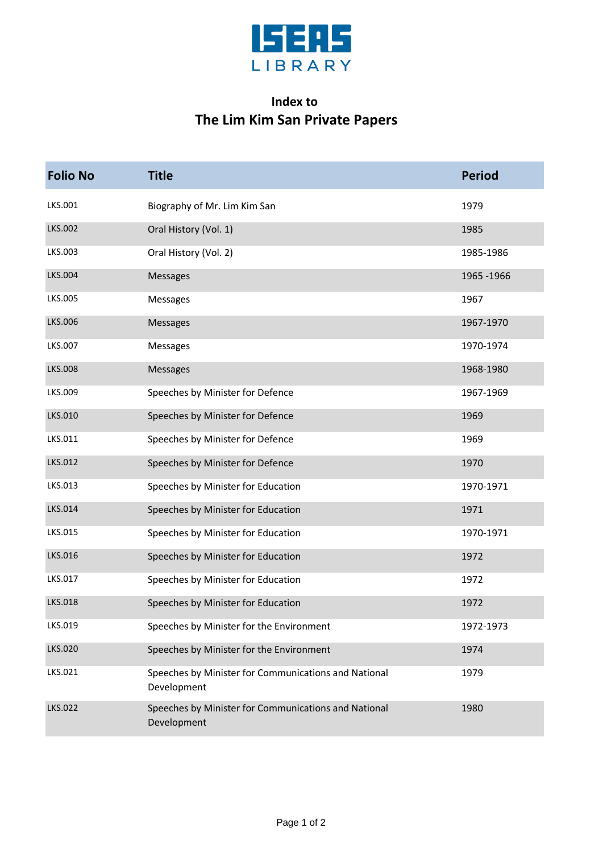

## **Index to The Lim Kim San Private Papers**

| <b>Folio No</b> | <b>Title</b>                                                        | <b>Period</b> |
|-----------------|---------------------------------------------------------------------|---------------|
| LKS.001         | Biography of Mr. Lim Kim San                                        | 1979          |
| LKS.002         | Oral History (Vol. 1)                                               | 1985          |
| LKS.003         | Oral History (Vol. 2)                                               | 1985-1986     |
| <b>LKS.004</b>  | <b>Messages</b>                                                     | 1965 - 1966   |
| LKS.005         | Messages                                                            | 1967          |
| <b>LKS.006</b>  | <b>Messages</b>                                                     | 1967-1970     |
| LKS.007         | Messages                                                            | 1970-1974     |
| <b>LKS.008</b>  | Messages                                                            | 1968-1980     |
| LKS.009         | Speeches by Minister for Defence                                    | 1967-1969     |
| LKS.010         | Speeches by Minister for Defence                                    | 1969          |
| LKS.011         | Speeches by Minister for Defence                                    | 1969          |
| LKS.012         | Speeches by Minister for Defence                                    | 1970          |
| LKS.013         | Speeches by Minister for Education                                  | 1970-1971     |
| LKS.014         | Speeches by Minister for Education                                  | 1971          |
| LKS.015         | Speeches by Minister for Education                                  | 1970-1971     |
| LKS.016         | Speeches by Minister for Education                                  | 1972          |
| LKS.017         | Speeches by Minister for Education                                  | 1972          |
| LKS.018         | Speeches by Minister for Education                                  | 1972          |
| LKS.019         | Speeches by Minister for the Environment                            | 1972-1973     |
| LKS.020         | Speeches by Minister for the Environment                            | 1974          |
| LKS.021         | Speeches by Minister for Communications and National<br>Development | 1979          |
| LKS.022         | Speeches by Minister for Communications and National<br>Development | 1980          |